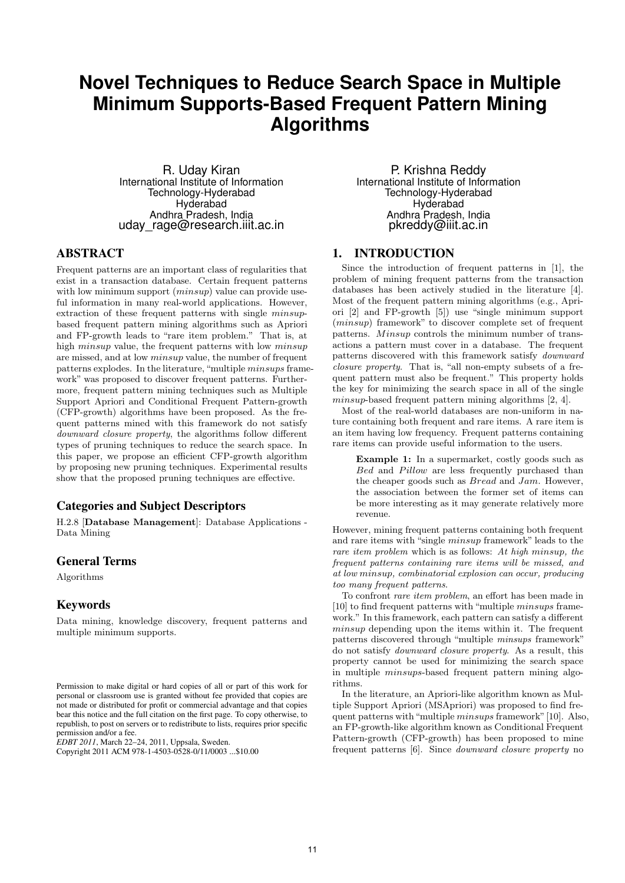# **Novel Techniques to Reduce Search Space in Multiple Minimum Supports-Based Frequent Pattern Mining Algorithms**

R. Uday Kiran International Institute of Information Technology-Hyderabad Hyderabad Andhra Pradesh, India uday\_rage@research.iiit.ac.in

## ABSTRACT

Frequent patterns are an important class of regularities that exist in a transaction database. Certain frequent patterns with low minimum support *(minsup)* value can provide useful information in many real-world applications. However, extraction of these frequent patterns with single *minsup*based frequent pattern mining algorithms such as Apriori and FP-growth leads to "rare item problem." That is, at high *minsup* value, the frequent patterns with low *minsup* are missed, and at low *minsup* value, the number of frequent patterns explodes. In the literature, "multiple *minsups* framework" was proposed to discover frequent patterns. Furthermore, frequent pattern mining techniques such as Multiple Support Apriori and Conditional Frequent Pattern-growth (CFP-growth) algorithms have been proposed. As the frequent patterns mined with this framework do not satisfy *downward closure property*, the algorithms follow different types of pruning techniques to reduce the search space. In this paper, we propose an efficient CFP-growth algorithm by proposing new pruning techniques. Experimental results show that the proposed pruning techniques are effective.

# Categories and Subject Descriptors

H.2.8 [**Database Management**]: Database Applications - Data Mining

## General Terms

Algorithms

# Keywords

Data mining, knowledge discovery, frequent patterns and multiple minimum supports.

*EDBT 2011*, March 22–24, 2011, Uppsala, Sweden.

P. Krishna Reddy International Institute of Information Technology-Hyderabad Hyderabad Andhra Pradesh, India pkreddy@iiit.ac.in

# 1. INTRODUCTION

Since the introduction of frequent patterns in [1], the problem of mining frequent patterns from the transaction databases has been actively studied in the literature [4]. Most of the frequent pattern mining algorithms (e.g., Apriori [2] and FP-growth [5]) use "single minimum support (*minsup*) framework" to discover complete set of frequent patterns. *Minsup* controls the minimum number of transactions a pattern must cover in a database. The frequent patterns discovered with this framework satisfy *downward closure property*. That is, "all non-empty subsets of a frequent pattern must also be frequent." This property holds the key for minimizing the search space in all of the single *minsup*-based frequent pattern mining algorithms [2, 4].

Most of the real-world databases are non-uniform in nature containing both frequent and rare items. A rare item is an item having low frequency. Frequent patterns containing rare items can provide useful information to the users.

**Example 1:** In a supermarket, costly goods such as *Bed* and *Pillow* are less frequently purchased than the cheaper goods such as *Bread* and *Jam*. However, the association between the former set of items can be more interesting as it may generate relatively more revenue.

However, mining frequent patterns containing both frequent and rare items with "single *minsup* framework" leads to the *rare item problem* which is as follows: *At high minsup, the frequent patterns containing rare items will be missed, and at low minsup, combinatorial explosion can occur, producing too many frequent patterns*.

To confront *rare item problem*, an effort has been made in [10] to find frequent patterns with "multiple *minsups* framework." In this framework, each pattern can satisfy a different *minsup* depending upon the items within it. The frequent patterns discovered through "multiple *minsups* framework" do not satisfy *downward closure property*. As a result, this property cannot be used for minimizing the search space in multiple *minsups*-based frequent pattern mining algorithms.

In the literature, an Apriori-like algorithm known as Multiple Support Apriori (MSApriori) was proposed to find frequent patterns with"multiple *minsups* framework"[10]. Also, an FP-growth-like algorithm known as Conditional Frequent Pattern-growth (CFP-growth) has been proposed to mine frequent patterns [6]. Since *downward closure property* no

Permission to make digital or hard copies of all or part of this work for personal or classroom use is granted without fee provided that copies are not made or distributed for profit or commercial advantage and that copies bear this notice and the full citation on the first page. To copy otherwise, to republish, to post on servers or to redistribute to lists, requires prior specific permission and/or a fee.

Copyright 2011 ACM 978-1-4503-0528-0/11/0003 ...\$10.00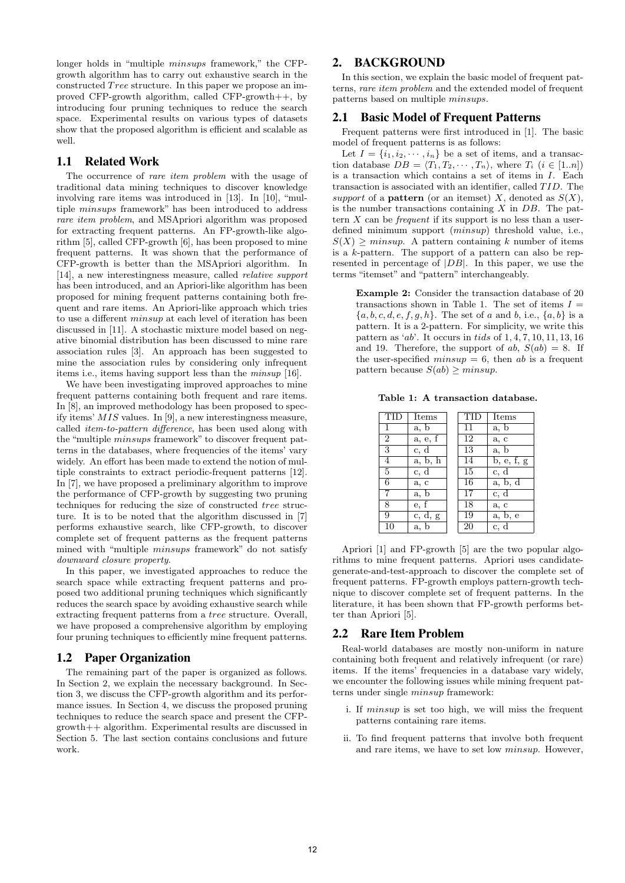longer holds in "multiple *minsups* framework," the CFPgrowth algorithm has to carry out exhaustive search in the constructed *T ree* structure. In this paper we propose an improved CFP-growth algorithm, called CFP-growth++, by introducing four pruning techniques to reduce the search space. Experimental results on various types of datasets show that the proposed algorithm is efficient and scalable as well.

## 1.1 Related Work

The occurrence of *rare item problem* with the usage of traditional data mining techniques to discover knowledge involving rare items was introduced in [13]. In [10], "multiple *minsups* framework" has been introduced to address *rare item problem*, and MSApriori algorithm was proposed for extracting frequent patterns. An FP-growth-like algorithm [5], called CFP-growth [6], has been proposed to mine frequent patterns. It was shown that the performance of CFP-growth is better than the MSApriori algorithm. In [14], a new interestingness measure, called *relative support* has been introduced, and an Apriori-like algorithm has been proposed for mining frequent patterns containing both frequent and rare items. An Apriori-like approach which tries to use a different *minsup* at each level of iteration has been discussed in [11]. A stochastic mixture model based on negative binomial distribution has been discussed to mine rare association rules [3]. An approach has been suggested to mine the association rules by considering only infrequent items i.e., items having support less than the *minsup* [16].

We have been investigating improved approaches to mine frequent patterns containing both frequent and rare items. In [8], an improved methodology has been proposed to specify items' *MIS* values. In [9], a new interestingness measure, called *item-to-pattern difference*, has been used along with the "multiple *minsups* framework" to discover frequent patterns in the databases, where frequencies of the items' vary widely. An effort has been made to extend the notion of multiple constraints to extract periodic-frequent patterns [12]. In [7], we have proposed a preliminary algorithm to improve the performance of CFP-growth by suggesting two pruning techniques for reducing the size of constructed *tree* structure. It is to be noted that the algorithm discussed in [7] performs exhaustive search, like CFP-growth, to discover complete set of frequent patterns as the frequent patterns mined with "multiple *minsups* framework" do not satisfy *downward closure property*.

In this paper, we investigated approaches to reduce the search space while extracting frequent patterns and proposed two additional pruning techniques which significantly reduces the search space by avoiding exhaustive search while extracting frequent patterns from a *tree* structure. Overall, we have proposed a comprehensive algorithm by employing four pruning techniques to efficiently mine frequent patterns.

## 1.2 Paper Organization

The remaining part of the paper is organized as follows. In Section 2, we explain the necessary background. In Section 3, we discuss the CFP-growth algorithm and its performance issues. In Section 4, we discuss the proposed pruning techniques to reduce the search space and present the CFPgrowth++ algorithm. Experimental results are discussed in Section 5. The last section contains conclusions and future work.

# 2. BACKGROUND

In this section, we explain the basic model of frequent patterns, *rare item problem* and the extended model of frequent patterns based on multiple *minsups*.

#### 2.1 Basic Model of Frequent Patterns

Frequent patterns were first introduced in [1]. The basic model of frequent patterns is as follows:

Let  $I = \{i_1, i_2, \dots, i_n\}$  be a set of items, and a transaction database  $DB = \langle T_1, T_2, \cdots, T_n \rangle$ , where  $T_i$  (*i*  $\in [1..n]$ ) is a transaction which contains a set of items in *I*. Each transaction is associated with an identifier, called *T ID*. The *support* of a **pattern** (or an itemset) *X*, denoted as  $S(X)$ , is the number transactions containing *X* in *DB*. The pattern *X* can be *frequent* if its support is no less than a userdefined minimum support (*minsup*) threshold value, i.e.,  $S(X)$  *> minsup*. A pattern containing *k* number of items is a *k*-pattern. The support of a pattern can also be represented in percentage of *|DB|*. In this paper, we use the terms "itemset" and "pattern" interchangeably.

**Example 2:** Consider the transaction database of 20 transactions shown in Table 1. The set of items  $I =$ *{a, b, c, d, e, f, g, h}*. The set of *a* and *b*, i.e., *{a, b}* is a pattern. It is a 2-pattern. For simplicity, we write this pattern as '*ab*'. It occurs in *tids* of 1*,* 4*,* 7*,* 10*,* 11*,* 13*,* 16 and 19. Therefore, the support of  $ab$ ,  $S(ab) = 8$ . If the user-specified  $minsup = 6$ , then *ab* is a frequent pattern because  $S(ab) \geq minsup$ .

**Table 1: A transaction database.**

| ŦТ             | Items                 |    | Items      |
|----------------|-----------------------|----|------------|
| 1              | a, b                  | 11 | a, b       |
| $\overline{2}$ | $a, e, \overline{f}$  | 12 | a, c       |
| $\overline{3}$ | c, d                  | 13 | a, b       |
| $\overline{4}$ | a, b, h               | 14 | b, e, f, g |
| 5              | c, d                  | 15 | c, d       |
| 6              | a, c                  | 16 | a, b, d    |
| 7              | a, b                  | 17 | c, d       |
| 8              | e, f                  | 18 | a, c       |
| 9              | $\overline{c}$ , d, g | 19 | a, b, e    |
| 10             | a, b                  | 20 | c, d       |

Apriori [1] and FP-growth [5] are the two popular algorithms to mine frequent patterns. Apriori uses candidategenerate-and-test-approach to discover the complete set of frequent patterns. FP-growth employs pattern-growth technique to discover complete set of frequent patterns. In the literature, it has been shown that FP-growth performs better than Apriori [5].

#### 2.2 Rare Item Problem

Real-world databases are mostly non-uniform in nature containing both frequent and relatively infrequent (or rare) items. If the items' frequencies in a database vary widely, we encounter the following issues while mining frequent patterns under single *minsup* framework:

- i. If *minsup* is set too high, we will miss the frequent patterns containing rare items.
- ii. To find frequent patterns that involve both frequent and rare items, we have to set low *minsup*. However,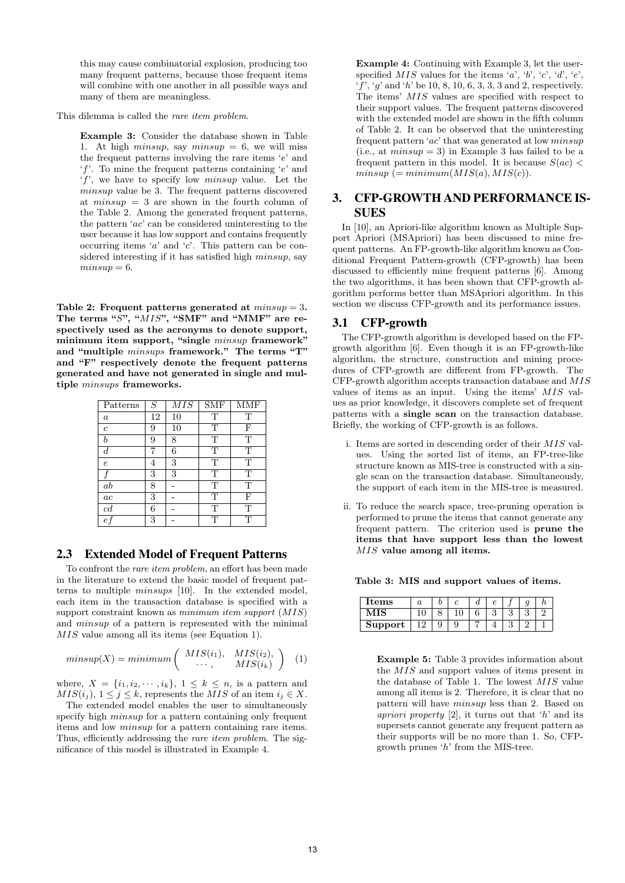this may cause combinatorial explosion, producing too many frequent patterns, because those frequent items will combine with one another in all possible ways and many of them are meaningless.

This dilemma is called the *rare item problem*.

**Example 3:** Consider the database shown in Table 1. At high *minsup*, say *minsup*  $= 6$ , we will miss the frequent patterns involving the rare items '*e*' and '*f*'. To mine the frequent patterns containing '*e*' and '*f*', we have to specify low *minsup* value. Let the *minsup* value be 3. The frequent patterns discovered at *minsup* = 3 are shown in the fourth column of the Table 2. Among the generated frequent patterns, the pattern '*ac*' can be considered uninteresting to the user because it has low support and contains frequently occurring items '*a*' and '*c*'. This pattern can be considered interesting if it has satisfied high *minsup*, say  $minsup = 6$ .

**Table 2: Frequent patterns generated at** *minsup* = 3**.** The terms "S", "MIS", "SMF" and "MMF" are re**spectively used as the acronyms to denote support, minimum item support, "single** *minsup* **framework" and "multiple** *minsups* **framework." The terms "T" and "F" respectively denote the frequent patterns generated and have not generated in single and multiple** *minsups* **frameworks.**

| Patterns         | S  | MIS | <b>SMF</b>              | $\overline{\rm\,MMF}$ |
|------------------|----|-----|-------------------------|-----------------------|
| $\boldsymbol{a}$ | 12 | 10  | T                       | T                     |
| $\overline{c}$   | 9  | 10  | T                       | F                     |
| h                | 9  | 8   | T                       | T                     |
| d                |    | 6   | $\overline{\mathrm{T}}$ | T                     |
| $\epsilon$       | 4  | 3   | T                       | T                     |
|                  | 3  | 3   | T                       | T                     |
| $_{ab}$          | 8  |     | T                       | T                     |
| ac               | 3  |     | T                       | F                     |
| c d              | 6  |     | T                       | T                     |
| е                | 3  |     | Т                       | Т                     |

#### 2.3 Extended Model of Frequent Patterns

To confront the *rare item problem*, an effort has been made in the literature to extend the basic model of frequent patterns to multiple *minsups* [10]. In the extended model, each item in the transaction database is specified with a support constraint known as *minimum item support* (*MIS*) and *minsup* of a pattern is represented with the minimal *MIS* value among all its items (see Equation 1).

$$
minsup(X) = minimum\left(\begin{array}{cc} MIS(i_1), & MIS(i_2), \\ \cdots, & MIS(i_k) \end{array}\right) \quad (1)
$$

where,  $X = \{i_1, i_2, \dots, i_k\}, 1 \leq k \leq n$ , is a pattern and *MIS*( $i_j$ ),  $1 \leq j \leq k$ , represents the *MIS* of an item  $i_j \in X$ .

The extended model enables the user to simultaneously specify high *minsup* for a pattern containing only frequent items and low *minsup* for a pattern containing rare items. Thus, efficiently addressing the *rare item problem*. The significance of this model is illustrated in Example 4.

**Example 4:** Continuing with Example 3, let the userspecified  $MIS$  values for the items '*a*', '*b*', '*c*', '*d*', '*e*', '*f*', '*g*' and '*h*' be 10, 8, 10, 6, 3, 3, 3 and 2, respectively. The items' *MIS* values are specified with respect to their support values. The frequent patterns discovered with the extended model are shown in the fifth column of Table 2. It can be observed that the uninteresting frequent pattern '*ac*' that was generated at low *minsup*  $(i.e., at *minsup* = 3)$  in Example 3 has failed to be a frequent pattern in this model. It is because  $S(ac)$  $minsup$  (=  $minimm(MIS(a), MIS(c))$ ).

# 3. CFP-GROWTH AND PERFORMANCE IS-SUES

In [10], an Apriori-like algorithm known as Multiple Support Apriori (MSApriori) has been discussed to mine frequent patterns. An FP-growth-like algorithm known as Conditional Frequent Pattern-growth (CFP-growth) has been discussed to efficiently mine frequent patterns [6]. Among the two algorithms, it has been shown that CFP-growth algorithm performs better than MSApriori algorithm. In this section we discuss CFP-growth and its performance issues.

## 3.1 CFP-growth

The CFP-growth algorithm is developed based on the FPgrowth algorithm [6]. Even though it is an FP-growth-like algorithm, the structure, construction and mining procedures of CFP-growth are different from FP-growth. The CFP-growth algorithm accepts transaction database and *MIS* values of items as an input. Using the items' *MIS* values as prior knowledge, it discovers complete set of frequent patterns with a **single scan** on the transaction database. Briefly, the working of CFP-growth is as follows.

- i. Items are sorted in descending order of their *MIS* values. Using the sorted list of items, an FP-tree-like structure known as MIS-tree is constructed with a single scan on the transaction database. Simultaneously, the support of each item in the MIS-tree is measured.
- ii. To reduce the search space, tree-pruning operation is performed to prune the items that cannot generate any frequent pattern. The criterion used is **prune the items that have support less than the lowest** *MIS* **value among all items.**

**Table 3: MIS and support values of items.**

| tems    | u |  | u |  | ັ |  |
|---------|---|--|---|--|---|--|
|         |   |  |   |  |   |  |
| Support |   |  |   |  |   |  |

**Example 5:** Table 3 provides information about the *MIS* and support values of items present in the database of Table 1. The lowest *MIS* value among all items is 2. Therefore, it is clear that no pattern will have *minsup* less than 2. Based on *apriori property* [2], it turns out that '*h*' and its supersets cannot generate any frequent pattern as their supports will be no more than 1. So, CFPgrowth prunes '*h*' from the MIS-tree.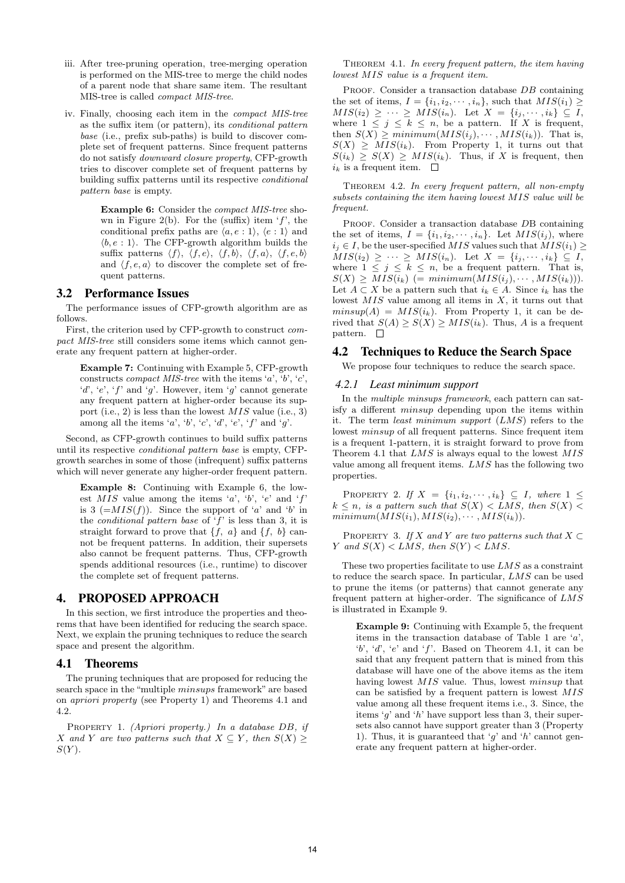- iii. After tree-pruning operation, tree-merging operation is performed on the MIS-tree to merge the child nodes of a parent node that share same item. The resultant MIS-tree is called *compact MIS-tree*.
- iv. Finally, choosing each item in the *compact MIS-tree* as the suffix item (or pattern), its *conditional pattern base* (i.e., prefix sub-paths) is build to discover complete set of frequent patterns. Since frequent patterns do not satisfy *downward closure property*, CFP-growth tries to discover complete set of frequent patterns by building suffix patterns until its respective *conditional pattern base* is empty.

**Example 6:** Consider the *compact MIS-tree* shown in Figure 2(b). For the (suffix) item '*f*', the conditional prefix paths are  $\langle a, e : 1 \rangle$ ,  $\langle e : 1 \rangle$  and  $\langle b, e : 1 \rangle$ . The CFP-growth algorithm builds the suffix patterns  $\langle f \rangle$ ,  $\langle f, e \rangle$ ,  $\langle f, b \rangle$ ,  $\langle f, a \rangle$ ,  $\langle f, e, b \rangle$ and  $\langle f, e, a \rangle$  to discover the complete set of frequent patterns.

#### 3.2 Performance Issues

The performance issues of CFP-growth algorithm are as follows.

First, the criterion used by CFP-growth to construct *compact MIS-tree* still considers some items which cannot generate any frequent pattern at higher-order.

**Example 7:** Continuing with Example 5, CFP-growth constructs *compact MIS-tree* with the items '*a*', '*b*', '*c*', '*d*', '*e*', '*f*' and '*g*'. However, item '*g*' cannot generate any frequent pattern at higher-order because its support (i.e., 2) is less than the lowest *MIS* value (i.e., 3) among all the items '*a*', '*b*', '*c*', '*d*', '*e*', '*f*' and '*g*'.

Second, as CFP-growth continues to build suffix patterns until its respective *conditional pattern base* is empty, CFPgrowth searches in some of those (infrequent) suffix patterns which will never generate any higher-order frequent pattern.

**Example 8:** Continuing with Example 6, the lowest *MIS* value among the items '*a*', '*b*', '*e*' and '*f*' is 3 ( $=MIS(f)$ ). Since the support of '*a*' and '*b*' in the *conditional pattern base* of '*f*' is less than 3, it is straight forward to prove that  $\{f, a\}$  and  $\{f, b\}$  cannot be frequent patterns. In addition, their supersets also cannot be frequent patterns. Thus, CFP-growth spends additional resources (i.e., runtime) to discover the complete set of frequent patterns.

## 4. PROPOSED APPROACH

In this section, we first introduce the properties and theorems that have been identified for reducing the search space. Next, we explain the pruning techniques to reduce the search space and present the algorithm.

#### 4.1 Theorems

The pruning techniques that are proposed for reducing the search space in the "multiple *minsups* framework" are based on *apriori property* (see Property 1) and Theorems 4.1 and 4.2.

Property 1. *(Apriori property.) In a database DB, if X* and *Y* are two patterns such that  $X \subseteq Y$ , then  $S(X) \geq$ *S*(*Y* )*.*

Theorem 4.1. *In every frequent pattern, the item having lowest MIS value is a frequent item.*

PROOF. Consider a transaction database *DB* containing the set of items,  $I = \{i_1, i_2, \dots, i_n\}$ , such that  $MIS(i_1) \geq$  $MIS(i_2) \geq \cdots \geq MIS(i_n)$ . Let  $X = \{i_j, \dots, i_k\} \subseteq I$ , where  $1 \leq j \leq k \leq n$ , be a pattern. If X is frequent, then  $S(X) \geq minimum(MIS(i_1), \cdots, MIS(i_k))$ . That is,  $S(X) \geq MIS(i_k)$ . From Property 1, it turns out that  $S(i_k) \geq S(X) \geq MIS(i_k)$ . Thus, if *X* is frequent, then  $i_k$  is a frequent item.  $\square$ 

Theorem 4.2. *In every frequent pattern, all non-empty subsets containing the item having lowest MIS value will be frequent.*

Proof. Consider a transaction database *D*B containing the set of items,  $I = \{i_1, i_2, \dots, i_n\}$ . Let  $MIS(i_j)$ , where *i*<sub>j</sub> ∈ *I*, be the user-specified *MIS* values such that  $MIS(i_1)$  ≥  $MIS(i_2) \geq \cdots \geq MIS(i_n)$ . Let  $X = \{i_j, \dots, i_k\} \subseteq I$ , where  $1 \leq j \leq k \leq n$ , be a frequent pattern. That is,  $S(X) \geq MIS(i_k)$  (=  $minimum(MIS(i_j), \cdots, MIS(i_k))$ ). Let  $A \subset X$  be a pattern such that  $i_k \in A$ . Since  $i_k$  has the lowest *MIS* value among all items in *X*, it turns out that  $minsup(A) = MIS(i_k)$ . From Property 1, it can be derived that  $S(A) \geq S(X) \geq MIS(i_k)$ . Thus, *A* is a frequent pattern.  $\square$ 

#### 4.2 Techniques to Reduce the Search Space

We propose four techniques to reduce the search space.

#### *4.2.1 Least minimum support*

In the *multiple minsups framework*, each pattern can satisfy a different *minsup* depending upon the items within it. The term *least minimum support* (*LMS*) refers to the lowest *minsup* of all frequent patterns. Since frequent item is a frequent 1-pattern, it is straight forward to prove from Theorem 4.1 that *LMS* is always equal to the lowest *MIS* value among all frequent items. *LMS* has the following two properties.

PROPERTY 2. *If*  $X = \{i_1, i_2, \cdots, i_k\} ⊆ I$ *, where* 1 ≤  $k \leq n$ *, is a pattern such that*  $S(X) < LMS$ *, then*  $S(X) <$  $minimum(MIS(i_1), MIS(i_2), \cdots, MIS(i_k)).$ 

PROPERTY 3. *If*  $X$  and  $Y$  are two patterns such that  $X \subset Y$ *Y and*  $S(X) < LMS$ *, then*  $S(Y) < LMS$ *.* 

These two properties facilitate to use *LMS* as a constraint to reduce the search space. In particular, *LMS* can be used to prune the items (or patterns) that cannot generate any frequent pattern at higher-order. The significance of *LMS* is illustrated in Example 9.

**Example 9:** Continuing with Example 5, the frequent items in the transaction database of Table 1 are '*a*', '*b*', '*d*', '*e*' and '*f*'. Based on Theorem 4.1, it can be said that any frequent pattern that is mined from this database will have one of the above items as the item having lowest *MIS* value. Thus, lowest *minsup* that can be satisfied by a frequent pattern is lowest *MIS* value among all these frequent items i.e., 3. Since, the items '*g*' and '*h*' have support less than 3, their supersets also cannot have support greater than 3 (Property 1). Thus, it is guaranteed that '*g*' and '*h*' cannot generate any frequent pattern at higher-order.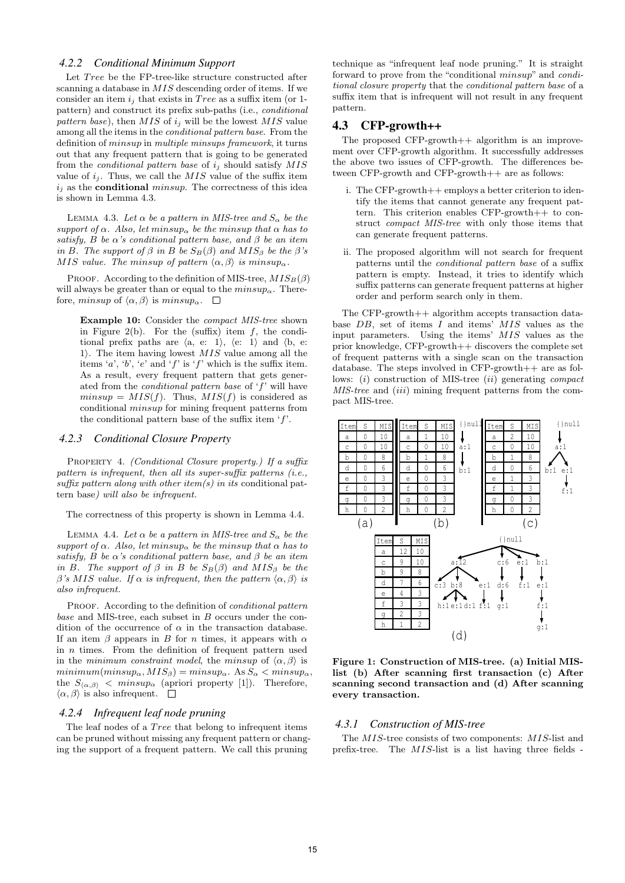#### *4.2.2 Conditional Minimum Support*

Let *Tree* be the FP-tree-like structure constructed after scanning a database in *MIS* descending order of items. If we consider an item  $i_j$  that exists in *Tree* as a suffix item (or 1pattern) and construct its prefix sub-paths (i.e., *conditional pattern base*), then *MIS* of *i<sup>j</sup>* will be the lowest *MIS* value among all the items in the *conditional pattern base*. From the definition of *minsup* in *multiple minsups framework*, it turns out that any frequent pattern that is going to be generated from the *conditional pattern base* of *i<sup>j</sup>* should satisfy *MIS* value of  $i_j$ . Thus, we call the  $MIS$  value of the suffix item *i<sup>j</sup>* as the **conditional** *minsup*. The correctness of this idea is shown in Lemma 4.3.

LEMMA 4.3. Let  $\alpha$  be a pattern in MIS-tree and  $S_{\alpha}$  be the *support of*  $\alpha$ *. Also, let*  $min sup_{\alpha}$  *be the minsup that*  $\alpha$  *has to satisfy, B be*  $\alpha$ 's conditional pattern base, and  $\beta$  be an item *in B. The support of*  $\beta$  *in B be*  $S_B(\beta)$  *and*  $MIS_\beta$  *be the*  $\beta$ '*s MIS value. The minsup of pattern*  $\langle \alpha, \beta \rangle$  *is minsup<sub>α</sub>*.

PROOF. According to the definition of MIS-tree,  $MIS_B(\beta)$ will always be greater than or equal to the  $min sup_{\alpha}$ . Therefore, *minsup* of  $\langle \alpha, \beta \rangle$  is *minsup*<sub>α</sub>.  $\square$ 

**Example 10:** Consider the *compact MIS-tree* shown in Figure 2(b). For the (suffix) item *f*, the conditional prefix paths are  $\langle a, e: 1 \rangle$ ,  $\langle e: 1 \rangle$  and  $\langle b, e: 1 \rangle$ 1*i*. The item having lowest *MIS* value among all the items '*a*', '*b*', '*e*' and '*f*' is '*f*' which is the suffix item. As a result, every frequent pattern that gets generated from the *conditional pattern base* of '*f*' will have  $minsup = MIS(f)$ . Thus,  $MIS(f)$  is considered as conditional *minsup* for mining frequent patterns from the conditional pattern base of the suffix item '*f*'.

#### *4.2.3 Conditional Closure Property*

Property 4. *(Conditional Closure property.) If a suffix pattern is infrequent, then all its super-suffix patterns (i.e., suffix pattern along with other item(s) in its* conditional pattern base*) will also be infrequent.*

The correctness of this property is shown in Lemma 4.4.

**LEMMA** 4.4. Let  $\alpha$  be a pattern in MIS-tree and  $S_{\alpha}$  be the *support of*  $\alpha$ *. Also, let minsup be the minsup that*  $\alpha$  *has to satisfy, B be*  $\alpha$ *'s conditional pattern base, and*  $\beta$  *be an item in B. The support of*  $\beta$  *in B be*  $S_B(\beta)$  *and*  $MIS_\beta$  *be the β*<sup>*'s*</sup> *MIS value. If*  $\alpha$  *is infrequent, then the pattern*  $\langle \alpha, \beta \rangle$  *is also infrequent.*

PROOF. According to the definition of *conditional pattern base* and MIS-tree, each subset in *B* occurs under the condition of the occurrence of  $\alpha$  in the transaction database. If an item  $\beta$  appears in *B* for *n* times, it appears with  $\alpha$ in *n* times. From the definition of frequent pattern used in the *minimum constraint model*, the *minsup* of  $\langle \alpha, \beta \rangle$  is  $minimum(minsup_{\alpha}, MIS_{\beta}) = minusup_{\alpha}$ . As  $S_{\alpha} < minusup_{\alpha}$ , the  $S_{\langle \alpha,\beta \rangle}$  *< minsup<sub>a</sub>* (apriori property [1]). Therefore,  $\langle \alpha, \beta \rangle$  is also infrequent.  $\square$ 

#### *4.2.4 Infrequent leaf node pruning*

The leaf nodes of a *T ree* that belong to infrequent items can be pruned without missing any frequent pattern or changing the support of a frequent pattern. We call this pruning

technique as "infrequent leaf node pruning." It is straight forward to prove from the "conditional *minsup*" and *conditional closure property* that the *conditional pattern base* of a suffix item that is infrequent will not result in any frequent pattern.

#### 4.3 CFP-growth++

The proposed  $CFP\text{-}growth++$  algorithm is an improvement over CFP-growth algorithm. It successfully addresses the above two issues of CFP-growth. The differences between CFP-growth and CFP-growth++ are as follows:

- i. The CFP-growth++ employs a better criterion to identify the items that cannot generate any frequent pattern. This criterion enables CFP-growth++ to construct *compact MIS-tree* with only those items that can generate frequent patterns.
- ii. The proposed algorithm will not search for frequent patterns until the *conditional pattern base* of a suffix pattern is empty. Instead, it tries to identify which suffix patterns can generate frequent patterns at higher order and perform search only in them.

The CFP-growth++ algorithm accepts transaction database *DB*, set of items *I* and items' *MIS* values as the input parameters. Using the items' *MIS* values as the prior knowledge, CFP-growth++ discovers the complete set of frequent patterns with a single scan on the transaction database. The steps involved in CFP-growth++ are as follows: (*i*) construction of MIS-tree (*ii*) generating *compact MIS-tree* and (*iii*) mining frequent patterns from the compact MIS-tree.



**Figure 1: Construction of MIS-tree. (a) Initial MISlist (b) After scanning first transaction (c) After scanning second transaction and (d) After scanning every transaction.**

#### *4.3.1 Construction of MIS-tree*

The *MIS*-tree consists of two components: *MIS*-list and prefix-tree. The *MIS*-list is a list having three fields -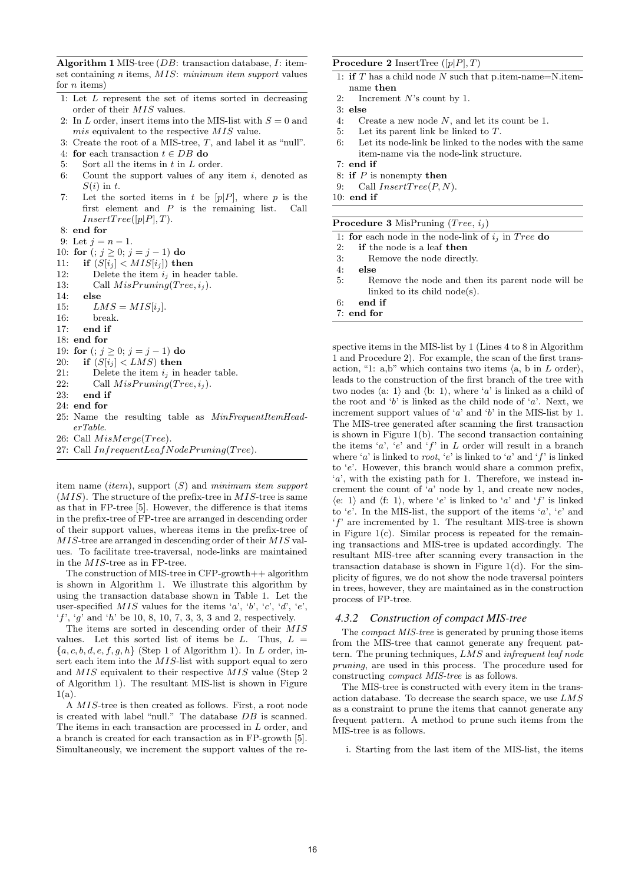**Algorithm 1** MIS-tree (*DB*: transaction database, *I*: itemset containing *n* items, *MIS*: *minimum item support* values for *n* items)

- 1: Let *L* represent the set of items sorted in decreasing order of their *MIS* values.
- 2: In *L* order, insert items into the MIS-list with  $S = 0$  and *mis* equivalent to the respective *MIS* value.
- 3: Create the root of a MIS-tree, *T*, and label it as "null". 4: **for** each transaction *t ∈ DB* **do**
- 5: Sort all the items in *t* in *L* order.
- 6: Count the support values of any item *i*, denoted as *S*(*i*) in *t*.
- 7: Let the sorted items in *t* be  $[p|P]$ , where *p* is the first element and *P* is the remaining list. Call  $InsertTree([p|P], T).$
- 8: **end for**
- 9: Let  $j = n 1$ .

10: **for**  $(j \ge 0; j = j - 1)$  **do** 

- 11: **if**  $(S[i_i] < MIS[i_i])$  then
- 12: Delete the item  $i_j$  in header table.
- 13: Call  $MisPruning(Tree, i<sub>i</sub>)$ .
- 14: **else**
- 15:  $LMS = MIS[i_j].$
- 16: break.
- 17: **end if**
- 18: **end for**

19: **for**  $(i; j \ge 0; j = j - 1)$  **do** 

- 20: **if**  $(S[i_j] < LMS)$  then
- 21: Delete the item  $i_j$  in header table.<br>22: Call  $MissPruning(Tree, i_j)$
- 22: Call  $MisPruning(Tree, i_j)$ .<br>23: **end if**
- end if
- 24: **end for**
- 25: Name the resulting table as *MinFrequentItemHeaderTable*.
- 26: Call *M isMerge*(*T ree*).
- 27: Call *InfrequentLeafNodeP runing*(*T ree*).

item name (*item*), support (*S*) and *minimum item support* (*MIS*). The structure of the prefix-tree in *MIS*-tree is same as that in FP-tree [5]. However, the difference is that items in the prefix-tree of FP-tree are arranged in descending order of their support values, whereas items in the prefix-tree of *MIS*-tree are arranged in descending order of their *MIS* values. To facilitate tree-traversal, node-links are maintained in the *MIS*-tree as in FP-tree.

The construction of MIS-tree in CFP-growth++ algorithm is shown in Algorithm 1. We illustrate this algorithm by using the transaction database shown in Table 1. Let the user-specified  $MIS$  values for the items '*a*', '*b*', '*c*', '*d*', '*e*', '*f*', '*g*' and '*h*' be 10, 8, 10, 7, 3, 3, 3 and 2, respectively.

The items are sorted in descending order of their *MIS* values. Let this sorted list of items be *L*. Thus,  $L =$ *{a, c, b, d, e, f, g, h}* (Step 1 of Algorithm 1). In *L* order, insert each item into the *MIS*-list with support equal to zero and *MIS* equivalent to their respective *MIS* value (Step 2 of Algorithm 1). The resultant MIS-list is shown in Figure  $1(a)$ .

A *MIS*-tree is then created as follows. First, a root node is created with label "null." The database *DB* is scanned. The items in each transaction are processed in *L* order, and a branch is created for each transaction as in FP-growth [5]. Simultaneously, we increment the support values of the re-

#### **Procedure 2** InsertTree ([*p|P*]*, T*)

- 1: **if** *T* has a child node *N* such that p.item-name=N.itemname **then**
- 2: Increment *N*'s count by 1.
- 3: **else**
- 4: Create a new node *N*, and let its count be 1.
- 5: Let its parent link be linked to *T*.
- 6: Let its node-link be linked to the nodes with the same item-name via the node-link structure.
- 7: **end if**
- 8: **if** *P* is nonempty **then**
- 9: Call *InsertT ree*(*P, N*).
- 10: **end if**

|  | <b>Procedure 3</b> MisPruning $(Tree, i_j)$ |  |
|--|---------------------------------------------|--|

|  |  |  |  |  |  | 1: for each node in the node-link of $i_j$ in Tree do |  |  |  |  |  |
|--|--|--|--|--|--|-------------------------------------------------------|--|--|--|--|--|
|--|--|--|--|--|--|-------------------------------------------------------|--|--|--|--|--|

| <b>if</b> the node is a leaf <b>then</b><br>2: |  |
|------------------------------------------------|--|
|------------------------------------------------|--|

- 3: Remove the node directly.
- 4: **else**
- 5: Remove the node and then its parent node will be linked to its child node(s).
- 6: **end if**
- 7: **end for**

spective items in the MIS-list by 1 (Lines 4 to 8 in Algorithm 1 and Procedure 2). For example, the scan of the first transaction, "1: a,b" which contains two items  $\langle a, b \text{ in } L \text{ order} \rangle$ , leads to the construction of the first branch of the tree with two nodes  $\langle a: 1 \rangle$  and  $\langle b: 1 \rangle$ , where  $\langle a \rangle$  is linked as a child of the root and '*b*' is linked as the child node of '*a*'. Next, we increment support values of '*a*' and '*b*' in the MIS-list by 1. The MIS-tree generated after scanning the first transaction is shown in Figure 1(b). The second transaction containing the items '*a*', '*e*' and '*f*' in *L* order will result in a branch where '*a*' is linked to *root*, '*e*' is linked to '*a*' and '*f*' is linked to '*e*'. However, this branch would share a common prefix, '*a*', with the existing path for 1. Therefore, we instead increment the count of '*a*' node by 1, and create new nodes,  $\langle e: 1 \rangle$  and  $\langle f: 1 \rangle$ , where  $\langle e' \rangle$  is linked to  $\langle a \rangle$  and  $\langle f \rangle$  is linked to '*e*'. In the MIS-list, the support of the items '*a*', '*e*' and '*f*' are incremented by 1. The resultant MIS-tree is shown in Figure  $1(c)$ . Similar process is repeated for the remaining transactions and MIS-tree is updated accordingly. The resultant MIS-tree after scanning every transaction in the transaction database is shown in Figure  $1(d)$ . For the simplicity of figures, we do not show the node traversal pointers in trees, however, they are maintained as in the construction process of FP-tree.

#### *4.3.2 Construction of compact MIS-tree*

The *compact MIS-tree* is generated by pruning those items from the MIS-tree that cannot generate any frequent pattern. The pruning techniques, *LMS* and *infrequent leaf node pruning*, are used in this process. The procedure used for constructing *compact MIS-tree* is as follows.

The MIS-tree is constructed with every item in the transaction database. To decrease the search space, we use *LMS* as a constraint to prune the items that cannot generate any frequent pattern. A method to prune such items from the MIS-tree is as follows.

i. Starting from the last item of the MIS-list, the items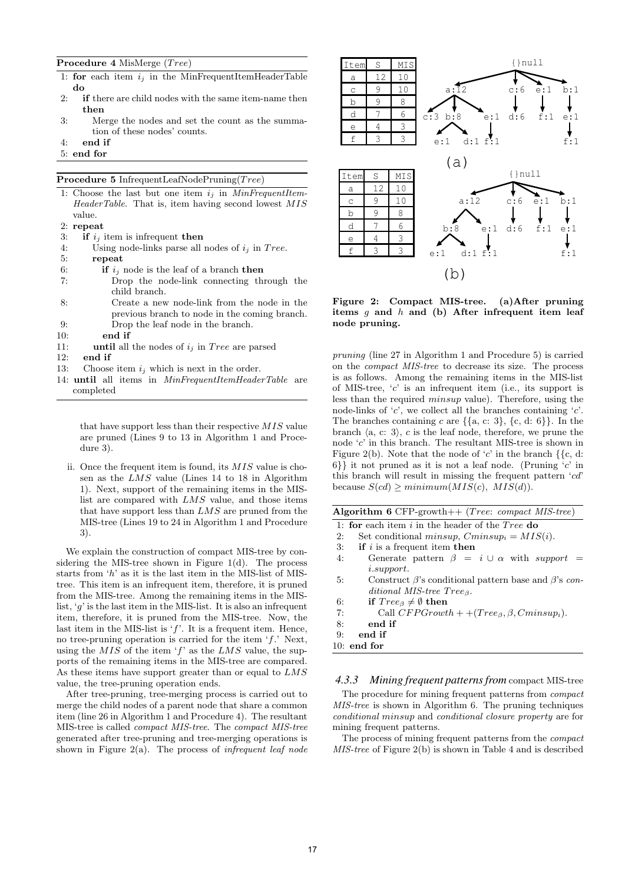## **Procedure 4** MisMerge (*T ree*)

- 1: **for** each item  $i_j$  in the MinFrequentItemHeaderTable **do**
- 2: **if** there are child nodes with the same item-name then **then**
- 3: Merge the nodes and set the count as the summation of these nodes' counts.
- 4: **end if**
- 5: **end for**

**Procedure 5** InfrequentLeafNodePruning(*T ree*)

- 1: Choose the last but one item *i<sup>j</sup>* in *MinFrequentItem-HeaderTable*. That is, item having second lowest *MIS* value. 2: **repeat** 3: **if**  $i_j$  item is infrequent **then**<br>4: Using node-links parse all Using node-links parse all nodes of  $i_j$  in *Tree*.
- 5: **repeat**
- 6: **if**  $i_j$  node is the leaf of a branch **then** 7: Drop the node-link connecting through the child branch.
- 8: Create a new node-link from the node in the previous branch to node in the coming branch. 9: Drop the leaf node in the branch.
- 10: **end if**
- 11: **until** all the nodes of *i<sup>j</sup>* in *T ree* are parsed
- 12: **end if**
- 13: Choose item  $i_j$  which is next in the order.
- 14: **until** all items in *MinFrequentItemHeaderTable* are completed

that have support less than their respective *MIS* value are pruned (Lines 9 to 13 in Algorithm 1 and Procedure 3).

ii. Once the frequent item is found, its *MIS* value is chosen as the *LMS* value (Lines 14 to 18 in Algorithm 1). Next, support of the remaining items in the MISlist are compared with *LMS* value, and those items that have support less than *LMS* are pruned from the MIS-tree (Lines 19 to 24 in Algorithm 1 and Procedure 3).

We explain the construction of compact MIS-tree by considering the MIS-tree shown in Figure 1(d). The process starts from '*h*' as it is the last item in the MIS-list of MIStree. This item is an infrequent item, therefore, it is pruned from the MIS-tree. Among the remaining items in the MISlist, '*g*' is the last item in the MIS-list. It is also an infrequent item, therefore, it is pruned from the MIS-tree. Now, the last item in the MIS-list is '*f*'. It is a frequent item. Hence, no tree-pruning operation is carried for the item '*f*.' Next, using the *MIS* of the item '*f*' as the *LMS* value, the supports of the remaining items in the MIS-tree are compared. As these items have support greater than or equal to *LMS* value, the tree-pruning operation ends.

After tree-pruning, tree-merging process is carried out to merge the child nodes of a parent node that share a common item (line 26 in Algorithm 1 and Procedure 4). The resultant MIS-tree is called *compact MIS-tree*. The *compact MIS-tree* generated after tree-pruning and tree-merging operations is shown in Figure 2(a). The process of *infrequent leaf node*



**Figure 2: Compact MIS-tree. (a)After pruning items** *g* **and** *h* **and (b) After infrequent item leaf node pruning.**

*pruning* (line 27 in Algorithm 1 and Procedure 5) is carried on the *compact MIS-tree* to decrease its size. The process is as follows. Among the remaining items in the MIS-list of MIS-tree, '*c*' is an infrequent item (i.e., its support is less than the required *minsup* value). Therefore, using the node-links of '*c*', we collect all the branches containing '*c*'. The branches containing *c* are *{{*a, c: 3*}*, *{*c, d: 6*}}*. In the branch  $\langle a, c: 3 \rangle$ , *c* is the leaf node, therefore, we prune the node '*c*' in this branch. The resultant MIS-tree is shown in Figure 2(b). Note that the node of '*c*' in the branch *{{*c, d: 6*}}* it not pruned as it is not a leaf node. (Pruning '*c*' in this branch will result in missing the frequent pattern '*cd*'  $because S(cd) \geq minimum(MIS(c), MIS(d)).$ 

|  |  |  |  | Algorithm 6 CFP-growth++ (Tree: compact MIS-tree) |  |
|--|--|--|--|---------------------------------------------------|--|
|--|--|--|--|---------------------------------------------------|--|

- 1: **for** each item *i* in the header of the *T ree* **do**
- 2: Set conditional  $minsup$ ,  $Cminsup$ <sub>i</sub> =  $MIS(i)$ .
- 3: **if** *i* is a frequent item **then**
- 4: Generate pattern  $\beta = i \cup \alpha$  with *support* = *i.support*.
- 5: Construct *β*'s conditional pattern base and *β*'s *conditional MIS-tree T reeβ*.
- 6: **if**  $Tree_\beta \neq \emptyset$  **then**
- 7: Call  $CFPGrowth + +(Tree_{\beta}, \beta, Cminsup_i)$ .
- 8: **end if**
- 9: **end if**
- 10: **end for**

*4.3.3 Mining frequent patterns from* compact MIS-tree

The procedure for mining frequent patterns from *compact MIS-tree* is shown in Algorithm 6. The pruning techniques *conditional minsup* and *conditional closure property* are for mining frequent patterns.

The process of mining frequent patterns from the *compact MIS-tree* of Figure 2(b) is shown in Table 4 and is described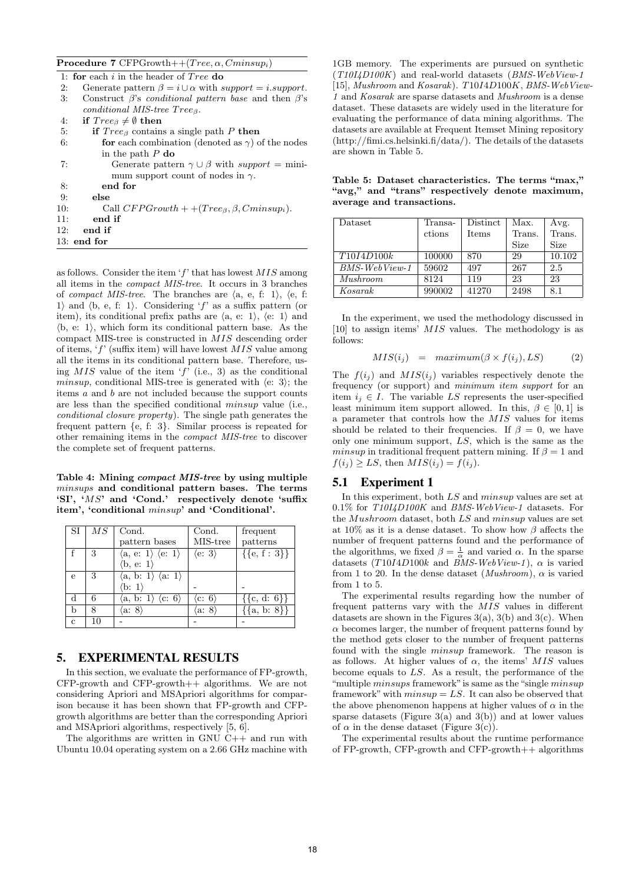**Procedure 7** CFPGrowth++(*T ree, α, Cminsupi*)

|     | 1: for each i in the header of $Tree$ do                                   |
|-----|----------------------------------------------------------------------------|
| 2:  | Generate pattern $\beta = i \cup \alpha$ with support = <i>i.support</i> . |
| 3:  | Construct $\beta$ 's <i>conditional pattern base</i> and then $\beta$ 's   |
|     | conditional MIS-tree $Tree_{\beta}$ .                                      |
| 4:  | if $Tree_{\beta} \neq \emptyset$ then                                      |
| 5:  | if $Tree_{\beta}$ contains a single path P then                            |
| 6:  | for each combination (denoted as $\gamma$ ) of the nodes                   |
|     | in the path $P$ do                                                         |
| 7:  | Generate pattern $\gamma \cup \beta$ with support = mini-                  |
|     | mum support count of nodes in $\gamma$ .                                   |
| 8:  | end for                                                                    |
| 9:  | else                                                                       |
| 10: | Call $CFPGrowth + +(Tree_{\beta}, \beta, Cminsup_i)$ .                     |
| 11: | end if                                                                     |
| 12: | end if                                                                     |
|     | $13:$ end for                                                              |

as follows. Consider the item '*f*' that has lowest *MIS* among all items in the *compact MIS-tree*. It occurs in 3 branches of *compact MIS-tree*. The branches are  $\langle a, e, f: 1 \rangle$ ,  $\langle e, f: 1 \rangle$ 1) and  $\langle b, e, f: 1 \rangle$ . Considering  $f'$  as a suffix pattern (or item), its conditional prefix paths are  $\langle a, e: 1 \rangle$ ,  $\langle e: 1 \rangle$  and  $\langle b, e: 1 \rangle$ , which form its conditional pattern base. As the compact MIS-tree is constructed in *MIS* descending order of items, '*f*' (suffix item) will have lowest *MIS* value among all the items in its conditional pattern base. Therefore, using *MIS* value of the item '*f*' (i.e., 3) as the conditional *minsup*, conditional MIS-tree is generated with  $\langle e: 3 \rangle$ ; the items *a* and *b* are not included because the support counts are less than the specified conditional *minsup* value (i.e., *conditional closure property*). The single path generates the frequent pattern *{*e, f: 3*}*. Similar process is repeated for other remaining items in the *compact MIS-tree* to discover the complete set of frequent patterns.

**Table 4: Mining** *compact MIS-tree* **by using multiple** *minsups* **and conditional pattern bases. The terms 'SI', '***MS***' and 'Cond.' respectively denote 'suffix item', 'conditional** *minsup***' and 'Conditional'.**

| SI          | $\overline{MS}$ | Cond.                                            | Cond.                    | frequent            |
|-------------|-----------------|--------------------------------------------------|--------------------------|---------------------|
|             |                 | pattern bases                                    | MIS-tree                 | patterns            |
|             | 3               | $\langle a, e: 1 \rangle \langle e: 1 \rangle$   | $\langle$ e: 3 $\rangle$ | $\{\{e, f : 3\}\}\$ |
|             |                 | $\langle b, e: 1 \rangle$                        |                          |                     |
| e           | 3               | $\langle a, b: 1 \rangle \langle a: 1 \rangle$   |                          |                     |
|             |                 | (b: 1)                                           |                          |                     |
| d           | 6               | $\langle a, b: 1 \rangle$ $\langle c: 6 \rangle$ | $\langle c:~6\rangle$    | $\{\{c, d: 6\}\}\$  |
| b           |                 | $\langle a\colon 8\rangle$                       | a:                       | $\{a, b: 8\}\}\$    |
| $\mathbf c$ | 10              |                                                  |                          |                     |

#### 5. EXPERIMENTAL RESULTS

In this section, we evaluate the performance of FP-growth, CFP-growth and CFP-growth++ algorithms. We are not considering Apriori and MSApriori algorithms for comparison because it has been shown that FP-growth and CFPgrowth algorithms are better than the corresponding Apriori and MSApriori algorithms, respectively [5, 6].

The algorithms are written in GNU C++ and run with Ubuntu 10.04 operating system on a 2.66 GHz machine with

1GB memory. The experiments are pursued on synthetic (*T10I4D100K*) and real-world datasets (*BMS-WebView-1* [15], *Mushroom* and *Kosarak*). *T*10*I*4*D*100*K*, *BMS-WebView-1* and *Kosarak* are sparse datasets and *Mushroom* is a dense dataset. These datasets are widely used in the literature for evaluating the performance of data mining algorithms. The datasets are available at Frequent Itemset Mining repository (http://fimi.cs.helsinki.fi/data/). The details of the datasets are shown in Table 5.

| Dataset          | Transa- | Distinct     | Max.        | Avg.   |
|------------------|---------|--------------|-------------|--------|
|                  | ctions  | <b>Items</b> | Trans.      | Trans. |
|                  |         |              | <b>Size</b> | Size   |
| T10I4D100k       | 100000  | 870          | 29          | 10.102 |
| $BMS$ -WebView-1 | 59602   | 497          | 267         | 2.5    |
| Mushroom         |         |              | 23          | 23     |

**Table 5: Dataset characteristics. The terms "max," "avg," and "trans" respectively denote maximum, average and transactions.**

In the experiment, we used the methodology discussed in [10] to assign items' *MIS* values. The methodology is as follows:

*Kosarak* 990002 41270 2498 8.1

$$
MIS(i_j) = maximum(\beta \times f(i_j), LS)
$$
 (2)

The  $f(i_j)$  and  $MIS(i_j)$  variables respectively denote the frequency (or support) and *minimum item support* for an item  $i_j \in I$ . The variable *LS* represents the user-specified least minimum item support allowed. In this,  $\beta \in [0, 1]$  is a parameter that controls how the *MIS* values for items should be related to their frequencies. If  $\beta = 0$ , we have only one minimum support, *LS*, which is the same as the *minsup* in traditional frequent pattern mining. If  $\beta = 1$  and  $f(i_j) \geq LS$ , then  $MIS(i_j) = f(i_j)$ .

#### 5.1 Experiment 1

In this experiment, both *LS* and *minsup* values are set at 0*.*1% for *T10I4D100K* and *BMS-WebView-1* datasets. For the *Mushroom* dataset, both *LS* and *minsup* values are set at 10% as it is a dense dataset. To show how *β* affects the number of frequent patterns found and the performance of the algorithms, we fixed  $\beta = \frac{1}{\alpha}$  and varied  $\alpha$ . In the sparse datasets  $(T10I4D100k$  and *BMS-WebView-1*),  $\alpha$  is varied from 1 to 20. In the dense dataset (*Mushroom*),  $\alpha$  is varied from 1 to 5.

The experimental results regarding how the number of frequent patterns vary with the *MIS* values in different datasets are shown in the Figures  $3(a)$ ,  $3(b)$  and  $3(c)$ . When  $\alpha$  becomes larger, the number of frequent patterns found by the method gets closer to the number of frequent patterns found with the single *minsup* framework. The reason is as follows. At higher values of  $\alpha$ , the items'  $MIS$  values become equals to *LS*. As a result, the performance of the "multiple *minsups* framework"is same as the "single *minsup* framework" with  $minsup = LS$ . It can also be observed that the above phenomenon happens at higher values of  $\alpha$  in the sparse datasets (Figure 3(a) and 3(b)) and at lower values of  $\alpha$  in the dense dataset (Figure 3(c)).

The experimental results about the runtime performance of FP-growth, CFP-growth and CFP-growth++ algorithms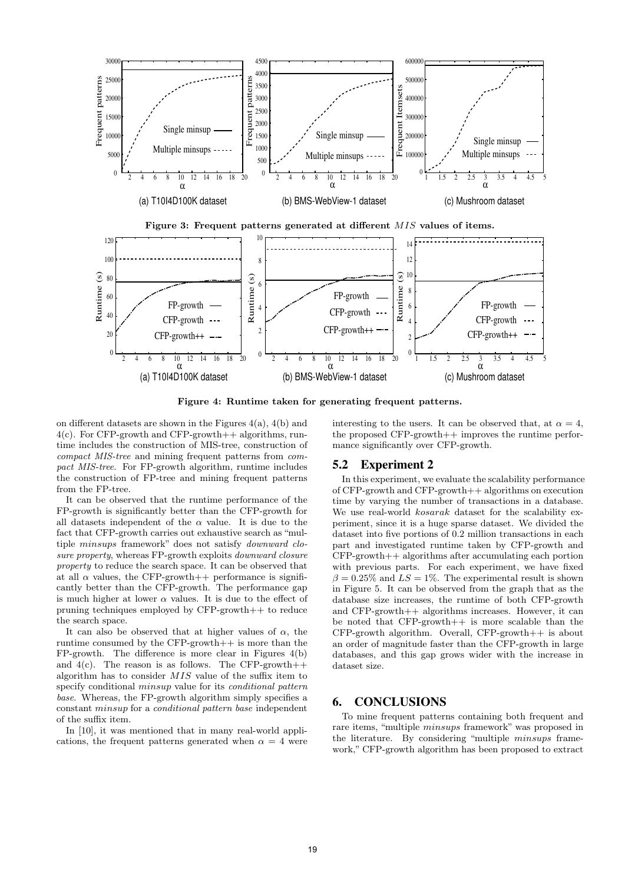

**Figure 4: Runtime taken for generating frequent patterns.**

on different datasets are shown in the Figures 4(a), 4(b) and  $4(c)$ . For CFP-growth and CFP-growth++ algorithms, runtime includes the construction of MIS-tree, construction of *compact MIS-tree* and mining frequent patterns from *compact MIS-tree*. For FP-growth algorithm, runtime includes the construction of FP-tree and mining frequent patterns from the FP-tree.

It can be observed that the runtime performance of the FP-growth is significantly better than the CFP-growth for all datasets independent of the *α* value. It is due to the fact that CFP-growth carries out exhaustive search as "multiple *minsups* framework" does not satisfy *downward closure property*, whereas FP-growth exploits *downward closure property* to reduce the search space. It can be observed that at all  $\alpha$  values, the CFP-growth++ performance is significantly better than the CFP-growth. The performance gap is much higher at lower  $\alpha$  values. It is due to the effect of pruning techniques employed by CFP-growth++ to reduce the search space.

It can also be observed that at higher values of  $\alpha$ , the runtime consumed by the CFP-growth++ is more than the FP-growth. The difference is more clear in Figures 4(b) and  $4(c)$ . The reason is as follows. The CFP-growth++ algorithm has to consider *MIS* value of the suffix item to specify conditional *minsup* value for its *conditional pattern base*. Whereas, the FP-growth algorithm simply specifies a constant *minsup* for a *conditional pattern base* independent of the suffix item.

In [10], it was mentioned that in many real-world applications, the frequent patterns generated when  $\alpha = 4$  were

interesting to the users. It can be observed that, at  $\alpha = 4$ , the proposed  $CFP\text{-}growth++$  improves the runtime performance significantly over CFP-growth.

## 5.2 Experiment 2

In this experiment, we evaluate the scalability performance of CFP-growth and CFP-growth++ algorithms on execution time by varying the number of transactions in a database. We use real-world *kosarak* dataset for the scalability experiment, since it is a huge sparse dataset. We divided the dataset into five portions of 0.2 million transactions in each part and investigated runtime taken by CFP-growth and CFP-growth++ algorithms after accumulating each portion with previous parts. For each experiment, we have fixed  $\beta = 0.25\%$  and  $LS = 1\%$ . The experimental result is shown in Figure 5. It can be observed from the graph that as the database size increases, the runtime of both CFP-growth and CFP-growth++ algorithms increases. However, it can be noted that CFP-growth++ is more scalable than the  $CFP$ -growth algorithm. Overall,  $CFP$ -growth $++$  is about an order of magnitude faster than the CFP-growth in large databases, and this gap grows wider with the increase in dataset size.

#### 6. CONCLUSIONS

To mine frequent patterns containing both frequent and rare items, "multiple *minsups* framework" was proposed in the literature. By considering "multiple *minsups* framework," CFP-growth algorithm has been proposed to extract